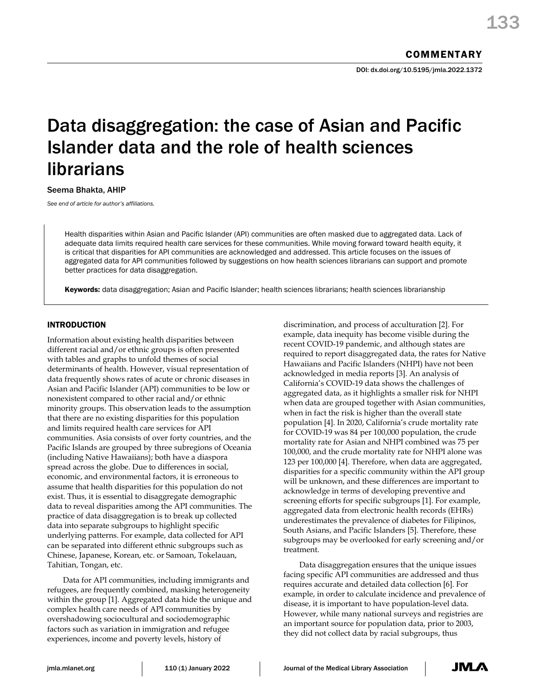# Data disaggregation: the case of Asian and Pacific Islander data and the role of health sciences librarians

Seema Bhakta, AHIP

*See end of article for author's affiliations.*

Health disparities within Asian and Pacific Islander (API) communities are often masked due to aggregated data. Lack of adequate data limits required health care services for these communities. While moving forward toward health equity, it is critical that disparities for API communities are acknowledged and addressed. This article focuses on the issues of aggregated data for API communities followed by suggestions on how health sciences librarians can support and promote better practices for data disaggregation.

Keywords: data disaggregation; Asian and Pacific Islander; health sciences librarians; health sciences librarianship

# INTRODUCTION

Information about existing health disparities between different racial and/or ethnic groups is often presented with tables and graphs to unfold themes of social determinants of health. However, visual representation of data frequently shows rates of acute or chronic diseases in Asian and Pacific Islander (API) communities to be low or nonexistent compared to other racial and/or ethnic minority groups. This observation leads to the assumption that there are no existing disparities for this population and limits required health care services for API communities. Asia consists of over forty countries, and the Pacific Islands are grouped by three subregions of Oceania (including Native Hawaiians); both have a diaspora spread across the globe. Due to differences in social, economic, and environmental factors, it is erroneous to assume that health disparities for this population do not exist. Thus, it is essential to disaggregate demographic data to reveal disparities among the API communities. The practice of data disaggregation is to break up collected data into separate subgroups to highlight specific underlying patterns. For example, data collected for API can be separated into different ethnic subgroups such as Chinese, Japanese, Korean, etc. or Samoan, Tokelauan, Tahitian, Tongan, etc.

Data for API communities, including immigrants and refugees, are frequently combined, masking heterogeneity within the group [1]. Aggregated data hide the unique and complex health care needs of API communities by overshadowing sociocultural and sociodemographic factors such as variation in immigration and refugee experiences, income and poverty levels, history of

discrimination, and process of acculturation [2]. For example, data inequity has become visible during the recent COVID-19 pandemic, and although states are required to report disaggregated data, the rates for Native Hawaiians and Pacific Islanders (NHPI) have not been acknowledged in media reports [3]. An analysis of California's COVID-19 data shows the challenges of aggregated data, as it highlights a smaller risk for NHPI when data are grouped together with Asian communities, when in fact the risk is higher than the overall state population [4]. In 2020, California's crude mortality rate for COVID-19 was 84 per 100,000 population, the crude mortality rate for Asian and NHPI combined was 75 per 100,000, and the crude mortality rate for NHPI alone was 123 per 100,000 [4]. Therefore, when data are aggregated, disparities for a specific community within the API group will be unknown, and these differences are important to acknowledge in terms of developing preventive and screening efforts for specific subgroups [1]. For example, aggregated data from electronic health records (EHRs) underestimates the prevalence of diabetes for Filipinos, South Asians, and Pacific Islanders [5]. Therefore, these subgroups may be overlooked for early screening and/or treatment.

Data disaggregation ensures that the unique issues facing specific API communities are addressed and thus requires accurate and detailed data collection [6]. For example, in order to calculate incidence and prevalence of disease, it is important to have population-level data. However, while many national surveys and registries are an important source for population data, prior to 2003, they did not collect data by racial subgroups, thus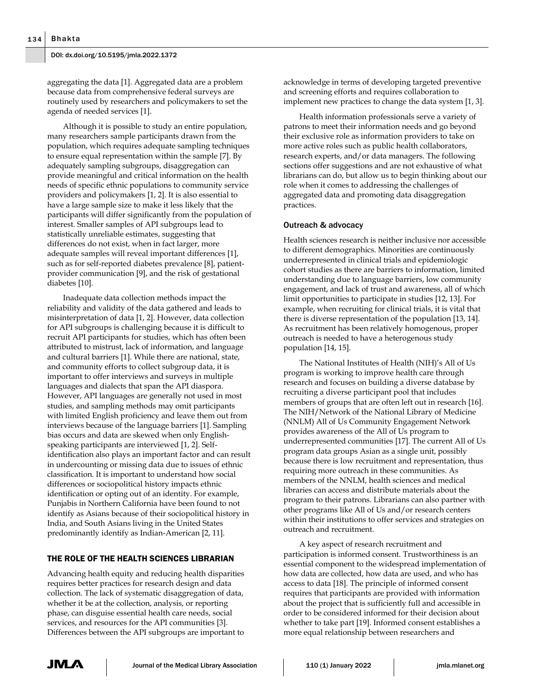aggregating the data [1]. Aggregated data are a problem because data from comprehensive federal surveys are routinely used by researchers and policymakers to set the agenda of needed services [1].

Although it is possible to study an entire population, many researchers sample participants drawn from the population, which requires adequate sampling techniques to ensure equal representation within the sample [7]. By adequately sampling subgroups, disaggregation can provide meaningful and critical information on the health needs of specific ethnic populations to community service providers and policymakers [1, 2]. It is also essential to have a large sample size to make it less likely that the participants will differ significantly from the population of interest. Smaller samples of API subgroups lead to statistically unreliable estimates, suggesting that differences do not exist, when in fact larger, more adequate samples will reveal important differences [1], such as for self-reported diabetes prevalence [8], patientprovider communication [9], and the risk of gestational diabetes [10].

Inadequate data collection methods impact the reliability and validity of the data gathered and leads to misinterpretation of data [1, 2]. However, data collection for API subgroups is challenging because it is difficult to recruit API participants for studies, which has often been attributed to mistrust, lack of information, and language and cultural barriers [1]. While there are national, state, and community efforts to collect subgroup data, it is important to offer interviews and surveys in multiple languages and dialects that span the API diaspora. However, API languages are generally not used in most studies, and sampling methods may omit participants with limited English proficiency and leave them out from interviews because of the language barriers [1]. Sampling bias occurs and data are skewed when only Englishspeaking participants are interviewed [1, 2]. Selfidentification also plays an important factor and can result in undercounting or missing data due to issues of ethnic classification. It is important to understand how social differences or sociopolitical history impacts ethnic identification or opting out of an identity. For example, Punjabis in Northern California have been found to not identify as Asians because of their sociopolitical history in India, and South Asians living in the United States predominantly identify as Indian-American [2, 11].

## THE ROLE OF THE HEALTH SCIENCES LIBRARIAN

Advancing health equity and reducing health disparities requires better practices for research design and data collection. The lack of systematic disaggregation of data, whether it be at the collection, analysis, or reporting phase, can disguise essential health care needs, social services, and resources for the API communities [3]. Differences between the API subgroups are important to

acknowledge in terms of developing targeted preventive and screening efforts and requires collaboration to implement new practices to change the data system [1, 3].

Health information professionals serve a variety of patrons to meet their information needs and go beyond their exclusive role as information providers to take on more active roles such as public health collaborators, research experts, and/or data managers. The following sections offer suggestions and are not exhaustive of what librarians can do, but allow us to begin thinking about our role when it comes to addressing the challenges of aggregated data and promoting data disaggregation practices.

#### Outreach & advocacy

Health sciences research is neither inclusive nor accessible to different demographics. Minorities are continuously underrepresented in clinical trials and epidemiologic cohort studies as there are barriers to information, limited understanding due to language barriers, low community engagement, and lack of trust and awareness, all of which limit opportunities to participate in studies [12, 13]. For example, when recruiting for clinical trials, it is vital that there is diverse representation of the population [13, 14]. As recruitment has been relatively homogenous, proper outreach is needed to have a heterogenous study population [14, 15].

The National Institutes of Health (NIH)'s All of Us program is working to improve health care through research and focuses on building a diverse database by recruiting a diverse participant pool that includes members of groups that are often left out in research [16]. The NIH/Network of the National Library of Medicine (NNLM) All of Us Community Engagement Network provides awareness of the All of Us program to underrepresented communities [17]. The current All of Us program data groups Asian as a single unit, possibly because there is low recruitment and representation, thus requiring more outreach in these communities. As members of the NNLM, health sciences and medical libraries can access and distribute materials about the program to their patrons. Librarians can also partner with other programs like All of Us and/or research centers within their institutions to offer services and strategies on outreach and recruitment.

A key aspect of research recruitment and participation is informed consent. Trustworthiness is an essential component to the widespread implementation of how data are collected, how data are used, and who has access to data [18]. The principle of informed consent requires that participants are provided with information about the project that is sufficiently full and accessible in order to be considered informed for their decision about whether to take part [19]. Informed consent establishes a more equal relationship between researchers and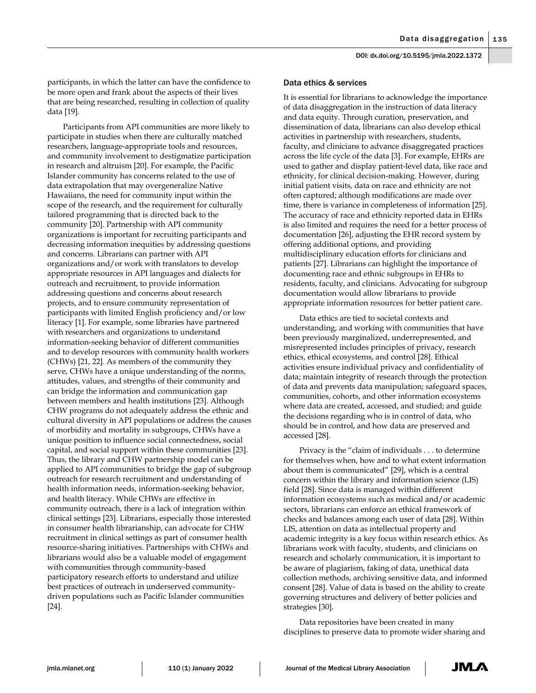participants, in which the latter can have the confidence to be more open and frank about the aspects of their lives that are being researched, resulting in collection of quality data [19].

Participants from API communities are more likely to participate in studies when there are culturally matched researchers, language-appropriate tools and resources, and community involvement to destigmatize participation in research and altruism [20]. For example, the Pacific Islander community has concerns related to the use of data extrapolation that may overgeneralize Native Hawaiians, the need for community input within the scope of the research, and the requirement for culturally tailored programming that is directed back to the community [20]. Partnership with API community organizations is important for recruiting participants and decreasing information inequities by addressing questions and concerns. Librarians can partner with API organizations and/or work with translators to develop appropriate resources in API languages and dialects for outreach and recruitment, to provide information addressing questions and concerns about research projects, and to ensure community representation of participants with limited English proficiency and/or low literacy [1]. For example, some libraries have partnered with researchers and organizations to understand information-seeking behavior of different communities and to develop resources with community health workers (CHWs) [21, 22]. As members of the community they serve, CHWs have a unique understanding of the norms, attitudes, values, and strengths of their community and can bridge the information and communication gap between members and health institutions [23]. Although CHW programs do not adequately address the ethnic and cultural diversity in API populations or address the causes of morbidity and mortality in subgroups, CHWs have a unique position to influence social connectedness, social capital, and social support within these communities [23]. Thus, the library and CHW partnership model can be applied to API communities to bridge the gap of subgroup outreach for research recruitment and understanding of health information needs, information-seeking behavior, and health literacy. While CHWs are effective in community outreach, there is a lack of integration within clinical settings [23]. Librarians, especially those interested in consumer health librarianship, can advocate for CHW recruitment in clinical settings as part of consumer health resource-sharing initiatives. Partnerships with CHWs and librarians would also be a valuable model of engagement with communities through community-based participatory research efforts to understand and utilize best practices of outreach in underserved communitydriven populations such as Pacific Islander communities [24].

#### Data ethics & services

It is essential for librarians to acknowledge the importance of data disaggregation in the instruction of data literacy and data equity. Through curation, preservation, and dissemination of data, librarians can also develop ethical activities in partnership with researchers, students, faculty, and clinicians to advance disaggregated practices across the life cycle of the data [3]. For example, EHRs are used to gather and display patient-level data, like race and ethnicity, for clinical decision-making. However, during initial patient visits, data on race and ethnicity are not often captured; although modifications are made over time, there is variance in completeness of information [25]. The accuracy of race and ethnicity reported data in EHRs is also limited and requires the need for a better process of documentation [26], adjusting the EHR record system by offering additional options, and providing multidisciplinary education efforts for clinicians and patients [27]. Librarians can highlight the importance of documenting race and ethnic subgroups in EHRs to residents, faculty, and clinicians. Advocating for subgroup documentation would allow librarians to provide appropriate information resources for better patient care.

Data ethics are tied to societal contexts and understanding, and working with communities that have been previously marginalized, underrepresented, and misrepresented includes principles of privacy, research ethics, ethical ecosystems, and control [28]. Ethical activities ensure individual privacy and confidentiality of data; maintain integrity of research through the protection of data and prevents data manipulation; safeguard spaces, communities, cohorts, and other information ecosystems where data are created, accessed, and studied; and guide the decisions regarding who is in control of data, who should be in control, and how data are preserved and accessed [28].

Privacy is the "claim of individuals . . . to determine for themselves when, how and to what extent information about them is communicated" [29], which is a central concern within the library and information science (LIS) field [28]. Since data is managed within different information ecosystems such as medical and/or academic sectors, librarians can enforce an ethical framework of checks and balances among each user of data [28]. Within LIS, attention on data as intellectual property and academic integrity is a key focus within research ethics. As librarians work with faculty, students, and clinicians on research and scholarly communication, it is important to be aware of plagiarism, faking of data, unethical data collection methods, archiving sensitive data, and informed consent [28]. Value of data is based on the ability to create governing structures and delivery of better policies and strategies [30].

Data repositories have been created in many disciplines to preserve data to promote wider sharing and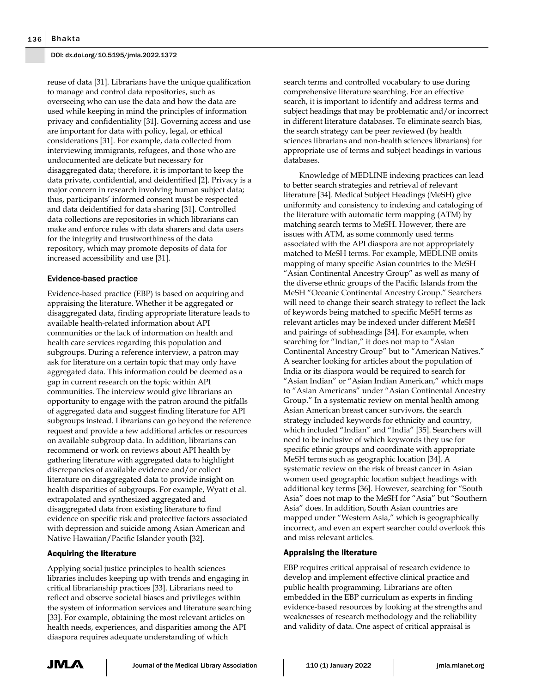reuse of data [31]. Librarians have the unique qualification to manage and control data repositories, such as overseeing who can use the data and how the data are used while keeping in mind the principles of information privacy and confidentiality [31]. Governing access and use are important for data with policy, legal, or ethical considerations [31]. For example, data collected from interviewing immigrants, refugees, and those who are undocumented are delicate but necessary for disaggregated data; therefore, it is important to keep the data private, confidential, and deidentified [2]. Privacy is a major concern in research involving human subject data; thus, participants' informed consent must be respected and data deidentified for data sharing [31]. Controlled data collections are repositories in which librarians can make and enforce rules with data sharers and data users for the integrity and trustworthiness of the data repository, which may promote deposits of data for increased accessibility and use [31].

## Evidence-based practice

Evidence-based practice (EBP) is based on acquiring and appraising the literature. Whether it be aggregated or disaggregated data, finding appropriate literature leads to available health-related information about API communities or the lack of information on health and health care services regarding this population and subgroups. During a reference interview, a patron may ask for literature on a certain topic that may only have aggregated data. This information could be deemed as a gap in current research on the topic within API communities. The interview would give librarians an opportunity to engage with the patron around the pitfalls of aggregated data and suggest finding literature for API subgroups instead. Librarians can go beyond the reference request and provide a few additional articles or resources on available subgroup data. In addition, librarians can recommend or work on reviews about API health by gathering literature with aggregated data to highlight discrepancies of available evidence and/or collect literature on disaggregated data to provide insight on health disparities of subgroups. For example, Wyatt et al. extrapolated and synthesized aggregated and disaggregated data from existing literature to find evidence on specific risk and protective factors associated with depression and suicide among Asian American and Native Hawaiian/Pacific Islander youth [32].

# Acquiring the literature

Applying social justice principles to health sciences libraries includes keeping up with trends and engaging in critical librarianship practices [33]. Librarians need to reflect and observe societal biases and privileges within the system of information services and literature searching [33]. For example, obtaining the most relevant articles on health needs, experiences, and disparities among the API diaspora requires adequate understanding of which

search terms and controlled vocabulary to use during comprehensive literature searching. For an effective search, it is important to identify and address terms and subject headings that may be problematic and/or incorrect in different literature databases. To eliminate search bias, the search strategy can be peer reviewed (by health sciences librarians and non-health sciences librarians) for appropriate use of terms and subject headings in various databases.

Knowledge of MEDLINE indexing practices can lead to better search strategies and retrieval of relevant literature [34]. Medical Subject Headings (MeSH) give uniformity and consistency to indexing and cataloging of the literature with automatic term mapping (ATM) by matching search terms to MeSH. However, there are issues with ATM, as some commonly used terms associated with the API diaspora are not appropriately matched to MeSH terms. For example, MEDLINE omits mapping of many specific Asian countries to the MeSH "Asian Continental Ancestry Group" as well as many of the diverse ethnic groups of the Pacific Islands from the MeSH "Oceanic Continental Ancestry Group." Searchers will need to change their search strategy to reflect the lack of keywords being matched to specific MeSH terms as relevant articles may be indexed under different MeSH and pairings of subheadings [34]. For example, when searching for "Indian," it does not map to "Asian Continental Ancestry Group" but to "American Natives." A searcher looking for articles about the population of India or its diaspora would be required to search for "Asian Indian" or "Asian Indian American," which maps to "Asian Americans" under "Asian Continental Ancestry Group." In a systematic review on mental health among Asian American breast cancer survivors, the search strategy included keywords for ethnicity and country, which included "Indian" and "India" [35]. Searchers will need to be inclusive of which keywords they use for specific ethnic groups and coordinate with appropriate MeSH terms such as geographic location [34]. A systematic review on the risk of breast cancer in Asian women used geographic location subject headings with additional key terms [36]. However, searching for "South Asia" does not map to the MeSH for "Asia" but "Southern Asia" does. In addition, South Asian countries are mapped under "Western Asia," which is geographically incorrect, and even an expert searcher could overlook this and miss relevant articles.

#### Appraising the literature

EBP requires critical appraisal of research evidence to develop and implement effective clinical practice and public health programming. Librarians are often embedded in the EBP curriculum as experts in finding evidence-based resources by looking at the strengths and weaknesses of research methodology and the reliability and validity of data. One aspect of critical appraisal is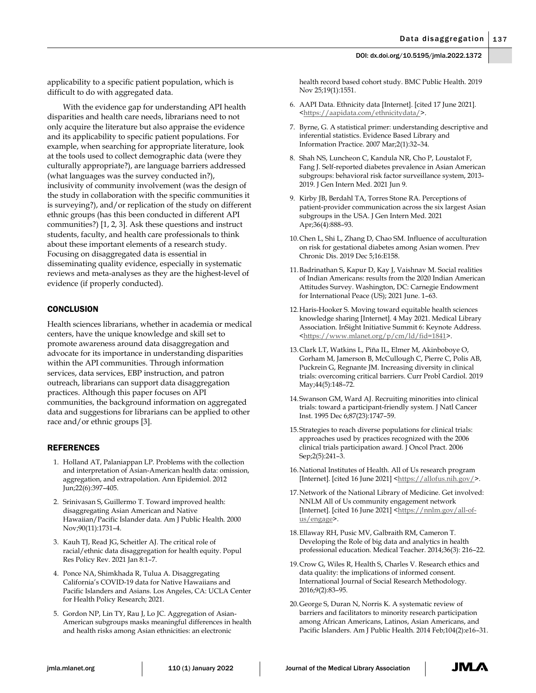applicability to a specific patient population, which is difficult to do with aggregated data.

With the evidence gap for understanding API health disparities and health care needs, librarians need to not only acquire the literature but also appraise the evidence and its applicability to specific patient populations. For example, when searching for appropriate literature, look at the tools used to collect demographic data (were they culturally appropriate?), are language barriers addressed (what languages was the survey conducted in?), inclusivity of community involvement (was the design of the study in collaboration with the specific communities it is surveying?), and/or replication of the study on different ethnic groups (has this been conducted in different API communities?) [1, 2, 3]. Ask these questions and instruct students, faculty, and health care professionals to think about these important elements of a research study. Focusing on disaggregated data is essential in disseminating quality evidence, especially in systematic reviews and meta-analyses as they are the highest-level of evidence (if properly conducted).

## **CONCLUSION**

Health sciences librarians, whether in academia or medical centers, have the unique knowledge and skill set to promote awareness around data disaggregation and advocate for its importance in understanding disparities within the API communities. Through information services, data services, EBP instruction, and patron outreach, librarians can support data disaggregation practices. Although this paper focuses on API communities, the background information on aggregated data and suggestions for librarians can be applied to other race and/or ethnic groups [3].

# REFERENCES

- 1. Holland AT, Palaniappan LP. Problems with the collection and interpretation of Asian-American health data: omission, aggregation, and extrapolation. Ann Epidemiol. 2012 Jun;22(6):397–405.
- 2. Srinivasan S, Guillermo T. Toward improved health: disaggregating Asian American and Native Hawaiian/Pacific Islander data. Am J Public Health. 2000 Nov;90(11):1731–4.
- 3. Kauh TJ, Read JG, Scheitler AJ. The critical role of racial/ethnic data disaggregation for health equity. Popul Res Policy Rev. 2021 Jan 8:1–7.
- 4. Ponce NA, Shimkhada R, Tulua A. Disaggregating California's COVID-19 data for Native Hawaiians and Pacific Islanders and Asians. Los Angeles, CA: UCLA Center for Health Policy Research; 2021.
- 5. Gordon NP, Lin TY, Rau J, Lo JC. Aggregation of Asian-American subgroups masks meaningful differences in health and health risks among Asian ethnicities: an electronic

health record based cohort study. BMC Public Health. 2019 Nov 25;19(1):1551.

- 6. AAPI Data. Ethnicity data [Internet]. [cited 17 June 2021]. <https://aapidata.com/ethnicitydata/>.
- 7. Byrne, G. A statistical primer: understanding descriptive and inferential statistics. Evidence Based Library and Information Practice. 2007 Mar;2(1):32–34.
- 8. Shah NS, Luncheon C, Kandula NR, Cho P, Loustalot F, Fang J. Self-reported diabetes prevalence in Asian American subgroups: behavioral risk factor surveillance system, 2013- 2019. J Gen Intern Med. 2021 Jun 9.
- 9. Kirby JB, Berdahl TA, Torres Stone RA. Perceptions of patient-provider communication across the six largest Asian subgroups in the USA. J Gen Intern Med. 2021 Apr;36(4):888–93.
- 10.Chen L, Shi L, Zhang D, Chao SM. Influence of acculturation on risk for gestational diabetes among Asian women. Prev Chronic Dis. 2019 Dec 5;16:E158.
- 11.Badrinathan S, Kapur D, Kay J, Vaishnav M. Social realities of Indian Americans: results from the 2020 Indian American Attitudes Survey. Washington, DC: Carnegie Endowment for International Peace (US); 2021 June. 1–63.
- 12.Haris-Hooker S. Moving toward equitable health sciences knowledge sharing [Internet]. 4 May 2021. Medical Library Association. InSight Initiative Summit 6: Keynote Address. <https://www.mlanet.org/p/cm/ld/fid=1841>.
- 13.Clark LT, Watkins L, Piña IL, Elmer M, Akinboboye O, Gorham M, Jamerson B, McCullough C, Pierre C, Polis AB, Puckrein G, Regnante JM. Increasing diversity in clinical trials: overcoming critical barriers. Curr Probl Cardiol. 2019 May;44(5):148–72.
- 14.Swanson GM, Ward AJ. Recruiting minorities into clinical trials: toward a participant-friendly system. J Natl Cancer Inst. 1995 Dec 6;87(23):1747–59.
- 15.Strategies to reach diverse populations for clinical trials: approaches used by practices recognized with the 2006 clinical trials participation award. J Oncol Pract. 2006 Sep;2(5):241–3.
- 16.National Institutes of Health. All of Us research program [Internet]. [cited 16 June 2021] [<https://allofus.nih.gov/>](https://allofus.nih.gov/).
- 17.Network of the National Library of Medicine. Get involved: NNLM All of Us community engagement network [Internet]. [cited 16 June 2021] <https://nnlm.gov/all-ofus/engage>.
- 18.Ellaway RH, Pusic MV, Galbraith RM, Cameron T. Developing the Role of big data and analytics in health professional education. Medical Teacher. 2014;36(3): 216–22.
- 19.Crow G, Wiles R, Health S, Charles V. Research ethics and data quality: the implications of informed consent. International Journal of Social Research Methodology. 2016;9(2):83–95.
- 20.George S, Duran N, Norris K. A systematic review of barriers and facilitators to minority research participation among African Americans, Latinos, Asian Americans, and Pacific Islanders. Am J Public Health. 2014 Feb;104(2):e16–31.